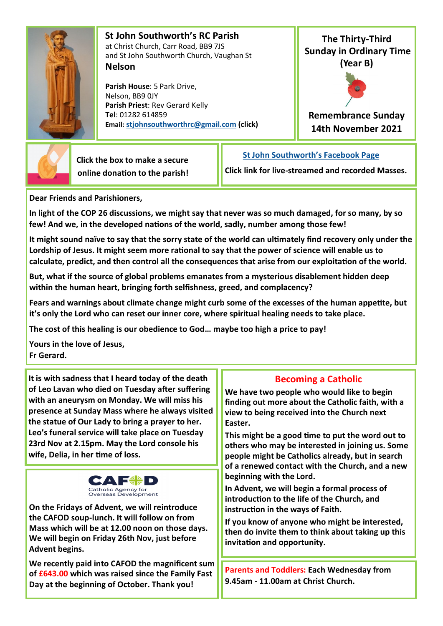

 **St John Southworth's RC Parish** at Christ Church, Carr Road, BB9 7JS and St John Southworth Church, Vaughan St **Nelson**

 **Parish House**: 5 Park Drive, Nelson, BB9 0JY **Parish Priest**: Rev Gerard Kelly **Tel**: 01282 614859 **Email: [stjohnsouthworthrc@gmail.com](mailto:stjohnsouthworth@gmail.com) (click)**

**The Thirty-Third Sunday in Ordinary Time (Year B)**



**Remembrance Sunday 14th November 2021**



 **Click the box to make a secure online donation to the parish!** **[St John Southworth's Facebook Page](https://www.facebook.com/Parish-of-St-John-Southworth-in-Nelson-105718084323986)**

**Click link for live-streamed and recorded Masses.**

**Dear Friends and Parishioners,**

**In light of the COP 26 discussions, we might say that never was so much damaged, for so many, by so few! And we, in the developed nations of the world, sadly, number among those few!**

**It might sound naïve to say that the sorry state of the world can ultimately find recovery only under the Lordship of Jesus. It might seem more rational to say that the power of science will enable us to calculate, predict, and then control all the consequences that arise from our exploitation of the world.** 

**But, what if the source of global problems emanates from a mysterious disablement hidden deep within the human heart, bringing forth selfishness, greed, and complacency?**

**Fears and warnings about climate change might curb some of the excesses of the human appetite, but it's only the Lord who can reset our inner core, where spiritual healing needs to take place.** 

**The cost of this healing is our obedience to God… maybe too high a price to pay!**

**Yours in the love of Jesus, Fr Gerard.**

**It is with sadness that I heard today of the death of Leo Lavan who died on Tuesday after suffering with an aneurysm on Monday. We will miss his presence at Sunday Mass where he always visited the statue of Our Lady to bring a prayer to her. Leo's funeral service will take place on Tuesday 23rd Nov at 2.15pm. May the Lord console his wife, Delia, in her time of loss.** 



**On the Fridays of Advent, we will reintroduce the CAFOD soup-lunch. It will follow on from Mass which will be at 12.00 noon on those days. We will begin on Friday 26th Nov, just before Advent begins.** 

**We recently paid into CAFOD the magnificent sum of £643.00 which was raised since the Family Fast Day at the beginning of October. Thank you!**

# **Becoming a Catholic**

**We have two people who would like to begin finding out more about the Catholic faith, with a view to being received into the Church next Easter.** 

**This might be a good time to put the word out to others who may be interested in joining us. Some people might be Catholics already, but in search of a renewed contact with the Church, and a new beginning with the Lord.** 

**In Advent, we will begin a formal process of introduction to the life of the Church, and instruction in the ways of Faith.** 

**If you know of anyone who might be interested, then do invite them to think about taking up this invitation and opportunity.** 

**Parents and Toddlers: Each Wednesday from 9.45am - 11.00am at Christ Church.**